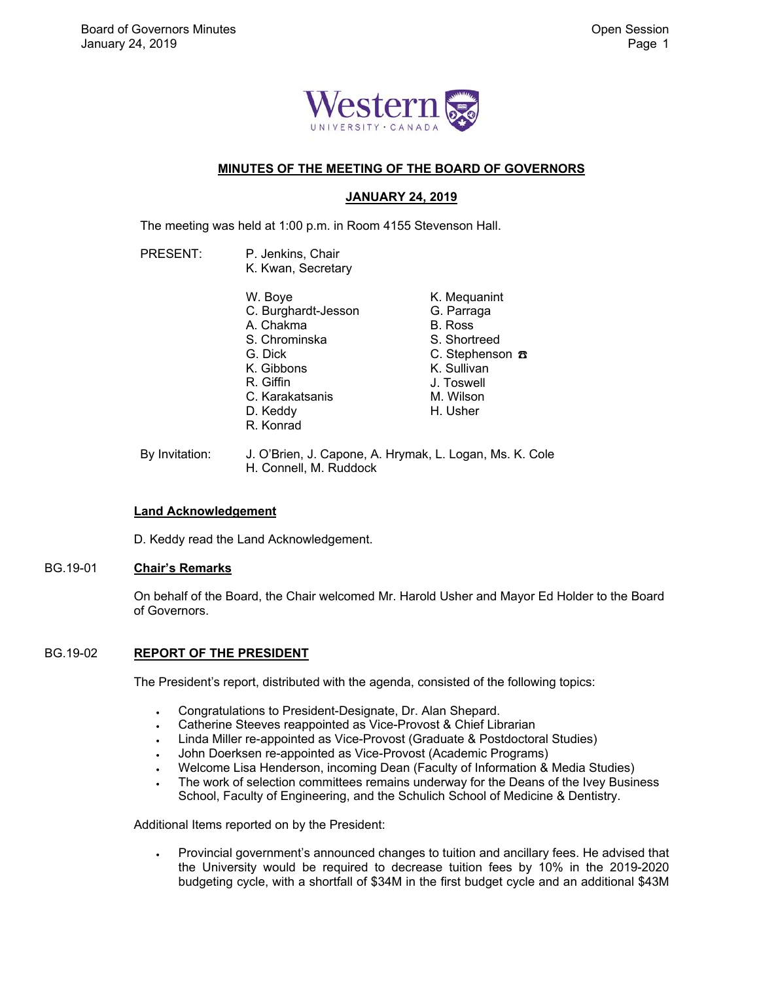

## **MINUTES OF THE MEETING OF THE BOARD OF GOVERNORS**

# **JANUARY 24, 2019**

The meeting was held at 1:00 p.m. in Room 4155 Stevenson Hall.

- PRESENT: P. Jenkins, Chair K. Kwan, Secretary W. Boye C. Burghardt-Jesson A. Chakma S. Chrominska G. Dick K. Gibbons R. Giffin C. Karakatsanis D. Keddy R. Konrad K. Mequanint G. Parraga B. Ross S. Shortreed C. Stephenson ☎ K. Sullivan J. Toswell M. Wilson H. Usher
- By Invitation: J. O'Brien, J. Capone, A. Hrymak, L. Logan, Ms. K. Cole H. Connell, M. Ruddock

## **Land Acknowledgement**

D. Keddy read the Land Acknowledgement.

## BG.19-01 **Chair's Remarks**

On behalf of the Board, the Chair welcomed Mr. Harold Usher and Mayor Ed Holder to the Board of Governors.

## BG.19-02 **REPORT OF THE PRESIDENT**

The President's report, distributed with the agenda, consisted of the following topics:

- Congratulations to President-Designate, Dr. Alan Shepard.
- Catherine Steeves reappointed as Vice-Provost & Chief Librarian
- Linda Miller re-appointed as Vice-Provost (Graduate & Postdoctoral Studies)
- John Doerksen re-appointed as Vice-Provost (Academic Programs)
- Welcome Lisa Henderson, incoming Dean (Faculty of Information & Media Studies)
- The work of selection committees remains underway for the Deans of the Ivey Business School, Faculty of Engineering, and the Schulich School of Medicine & Dentistry.

Additional Items reported on by the President:

 Provincial government's announced changes to tuition and ancillary fees. He advised that the University would be required to decrease tuition fees by 10% in the 2019-2020 budgeting cycle, with a shortfall of \$34M in the first budget cycle and an additional \$43M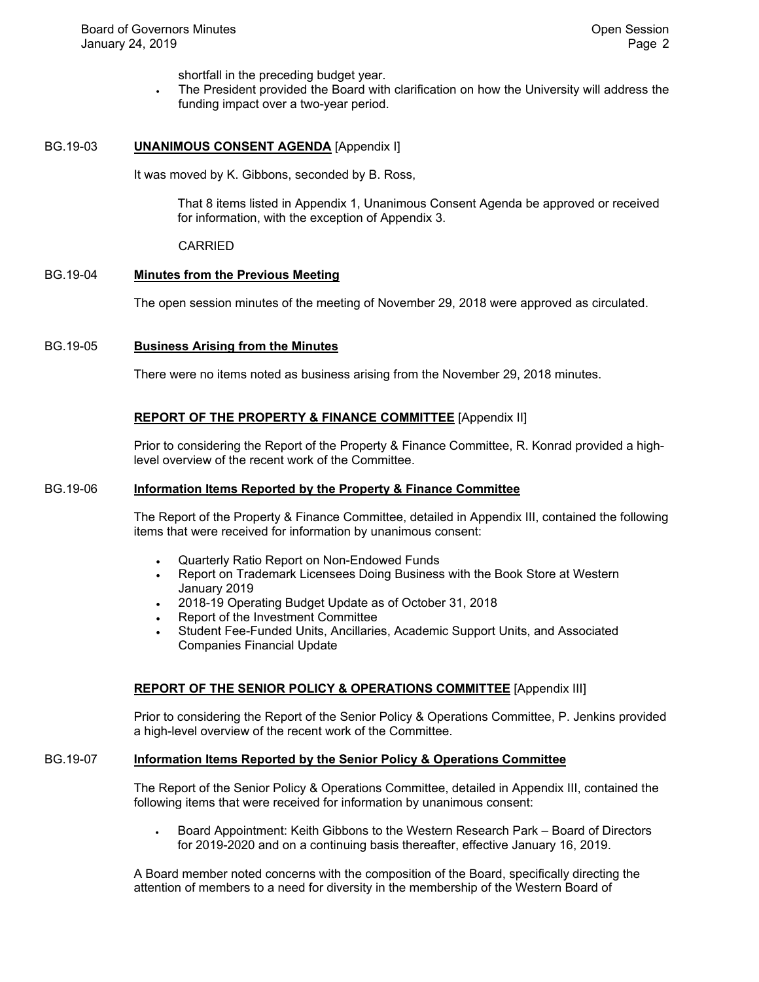shortfall in the preceding budget year.

 The President provided the Board with clarification on how the University will address the funding impact over a two-year period.

### BG.19-03 **UNANIMOUS CONSENT AGENDA** [Appendix I]

It was moved by K. Gibbons, seconded by B. Ross,

That 8 items listed in Appendix 1, Unanimous Consent Agenda be approved or received for information, with the exception of Appendix 3.

### CARRIED

## BG.19-04 **Minutes from the Previous Meeting**

The open session minutes of the meeting of November 29, 2018 were approved as circulated.

## BG.19-05 **Business Arising from the Minutes**

There were no items noted as business arising from the November 29, 2018 minutes.

### **REPORT OF THE PROPERTY & FINANCE COMMITTEE** [Appendix II]

Prior to considering the Report of the Property & Finance Committee, R. Konrad provided a highlevel overview of the recent work of the Committee.

### BG.19-06 **Information Items Reported by the Property & Finance Committee**

The Report of the Property & Finance Committee, detailed in Appendix III, contained the following items that were received for information by unanimous consent:

- Quarterly Ratio Report on Non-Endowed Funds
- Report on Trademark Licensees Doing Business with the Book Store at Western January 2019
- 2018-19 Operating Budget Update as of October 31, 2018
- Report of the Investment Committee
- Student Fee-Funded Units, Ancillaries, Academic Support Units, and Associated Companies Financial Update

### **REPORT OF THE SENIOR POLICY & OPERATIONS COMMITTEE** [Appendix III]

Prior to considering the Report of the Senior Policy & Operations Committee, P. Jenkins provided a high-level overview of the recent work of the Committee.

### BG.19-07 **Information Items Reported by the Senior Policy & Operations Committee**

The Report of the Senior Policy & Operations Committee, detailed in Appendix III, contained the following items that were received for information by unanimous consent:

 Board Appointment: Keith Gibbons to the Western Research Park – Board of Directors for 2019-2020 and on a continuing basis thereafter, effective January 16, 2019.

A Board member noted concerns with the composition of the Board, specifically directing the attention of members to a need for diversity in the membership of the Western Board of